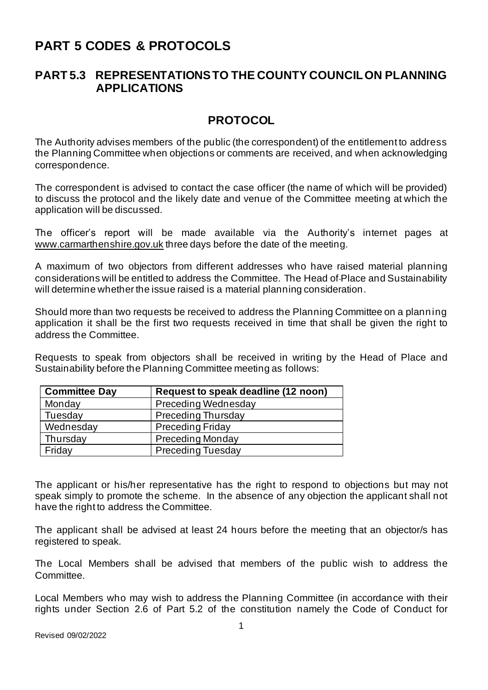# **PART 5 CODES & PROTOCOLS**

## **PART 5.3 REPRESENTATIONS TO THE COUNTY COUNCIL ON PLANNING APPLICATIONS**

## **PROTOCOL**

The Authority advises members of the public (the correspondent) of the entitlement to address the Planning Committee when objections or comments are received, and when acknowledging correspondence.

The correspondent is advised to contact the case officer (the name of which will be provided) to discuss the protocol and the likely date and venue of the Committee meeting at which the application will be discussed.

The officer's report will be made available via the Authority's internet pages at [www.carmarthenshire.gov.uk](http://www.carmarthenshire.gov.uk/) three days before the date of the meeting.

A maximum of two objectors from different addresses who have raised material planning considerations will be entitled to address the Committee. The Head of Place and Sustainability will determine whether the issue raised is a material planning consideration.

Should more than two requests be received to address the Planning Committee on a planning application it shall be the first two requests received in time that shall be given the right to address the Committee.

Requests to speak from objectors shall be received in writing by the Head of Place and Sustainability before the Planning Committee meeting as follows:

| <b>Committee Day</b> | Request to speak deadline (12 noon) |
|----------------------|-------------------------------------|
| Monday               | <b>Preceding Wednesday</b>          |
| Tuesday              | <b>Preceding Thursday</b>           |
| Wednesday            | <b>Preceding Friday</b>             |
| Thursday             | Preceding Monday                    |
| Friday               | <b>Preceding Tuesday</b>            |

The applicant or his/her representative has the right to respond to objections but may not speak simply to promote the scheme. In the absence of any objection the applicant shall not have the right to address the Committee.

The applicant shall be advised at least 24 hours before the meeting that an objector/s has registered to speak.

The Local Members shall be advised that members of the public wish to address the Committee.

Local Members who may wish to address the Planning Committee (in accordance with their rights under Section 2.6 of Part 5.2 of the constitution namely the Code of Conduct for